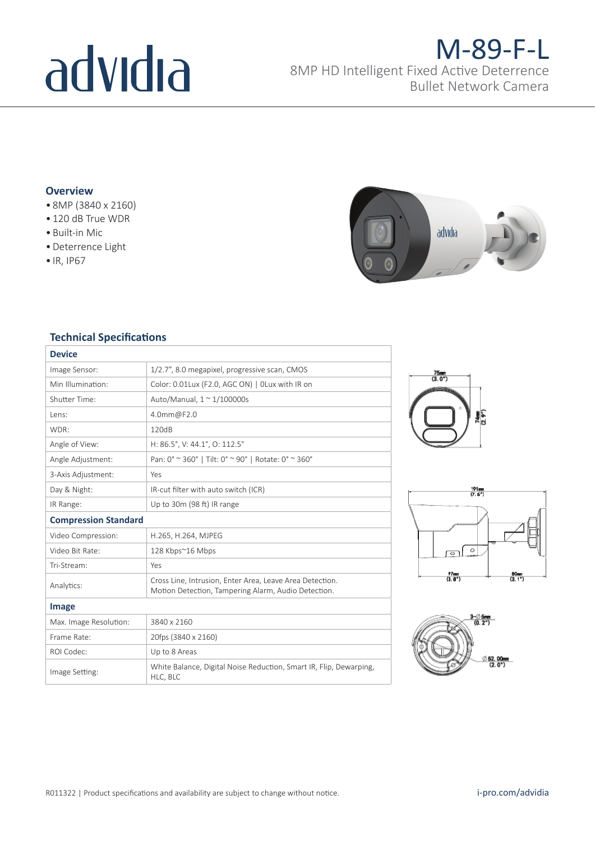# advidia

### M-89-F-L

8MP HD Intelligent Fixed Active Deterrence Bullet Network Camera

#### **Overview**

- 8MP (3840 x 2160)
- 120 dB True WDR
- Built-in Mic
- •Deterrence Light
- IR, IP67



#### **Technical Specifications**

| <b>Device</b>               |                                                                                                                 |
|-----------------------------|-----------------------------------------------------------------------------------------------------------------|
| Image Sensor:               | 1/2.7", 8.0 megapixel, progressive scan, CMOS                                                                   |
| Min Illumination:           | Color: 0.01Lux (F2.0, AGC ON)   OLux with IR on                                                                 |
| Shutter Time:               | Auto/Manual, 1 ~ 1/100000s                                                                                      |
| Lens:                       | 4.0mm@F2.0                                                                                                      |
| WDR:                        | 120dB                                                                                                           |
| Angle of View:              | H: 86.5°, V: 44.1°, O: 112.5°                                                                                   |
| Angle Adjustment:           | Pan: 0° ~ 360°   Tilt: 0° ~ 90°   Rotate: 0° ~ 360°                                                             |
| 3-Axis Adjustment:          | Yes                                                                                                             |
| Day & Night:                | IR-cut filter with auto switch (ICR)                                                                            |
| IR Range:                   | Up to 30m (98 ft) IR range                                                                                      |
| <b>Compression Standard</b> |                                                                                                                 |
| Video Compression:          | H.265, H.264, MJPEG                                                                                             |
| Video Bit Rate:             | 128 Kbps~16 Mbps                                                                                                |
| Tri-Stream:                 | Yes                                                                                                             |
| Analytics:                  | Cross Line, Intrusion, Enter Area, Leave Area Detection.<br>Motion Detection, Tampering Alarm, Audio Detection. |
| Image                       |                                                                                                                 |
| Max. Image Resolution:      | 3840 x 2160                                                                                                     |
| Frame Rate:                 | 20fps (3840 x 2160)                                                                                             |
| ROI Codec:                  | Up to 8 Areas                                                                                                   |
| Image Setting:              | White Balance, Digital Noise Reduction, Smart IR, Flip, Dewarping,<br>HLC, BLC                                  |